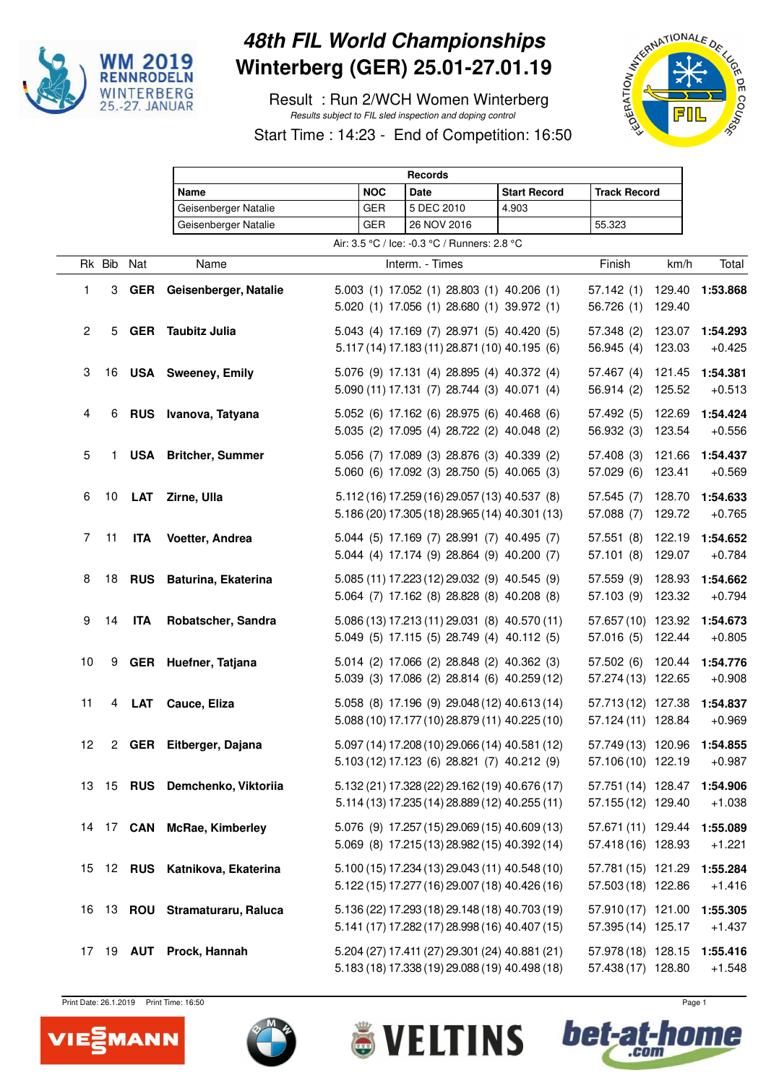

## **48th FIL World Championships Winterberg (GER) 25.01-27.01.19**

 Result : Run 2/WCH Women Winterberg Results subject to FIL sled inspection and doping control



Start Time : 14:23 - End of Competition: 16:50

|              |        |               | <b>Records</b>                 |  |            |                                                                                                  |                     |                                          |        |                      |
|--------------|--------|---------------|--------------------------------|--|------------|--------------------------------------------------------------------------------------------------|---------------------|------------------------------------------|--------|----------------------|
|              |        |               | Name                           |  | <b>NOC</b> | <b>Date</b>                                                                                      | <b>Start Record</b> | <b>Track Record</b>                      |        |                      |
|              |        |               | Geisenberger Natalie           |  | <b>GER</b> | 5 DEC 2010                                                                                       | 4.903               |                                          |        |                      |
|              |        |               | Geisenberger Natalie           |  | GER        | 26 NOV 2016                                                                                      |                     | 55.323                                   |        |                      |
|              |        |               |                                |  |            | Air: 3.5 °C / Ice: -0.3 °C / Runners: 2.8 °C                                                     |                     |                                          |        |                      |
|              | Rk Bib | Nat           | Name                           |  |            | Interm. - Times                                                                                  |                     | Finish                                   | km/h   | Total                |
| 1            | 3      | <b>GER</b>    | Geisenberger, Natalie          |  |            | 5.003 (1) 17.052 (1) 28.803 (1) 40.206 (1)                                                       |                     | 57.142(1)                                | 129.40 | 1:53.868             |
|              |        |               |                                |  |            | 5.020 (1) 17.056 (1) 28.680 (1) 39.972 (1)                                                       |                     | 56.726 (1)                               | 129.40 |                      |
| $\mathbf{2}$ | 5      | <b>GER</b>    | Taubitz Julia                  |  |            | 5.043 (4) 17.169 (7) 28.971 (5) 40.420 (5)                                                       |                     | 57.348 (2)                               | 123.07 | 1:54.293             |
|              |        |               |                                |  |            | 5.117 (14) 17.183 (11) 28.871 (10) 40.195 (6)                                                    |                     | 56.945(4)                                | 123.03 | $+0.425$             |
| 3            | 16     |               | <b>USA</b> Sweeney, Emily      |  |            | 5.076 (9) 17.131 (4) 28.895 (4) 40.372 (4)                                                       |                     | 57.467(4)                                | 121.45 | 1:54.381             |
|              |        |               |                                |  |            | 5.090 (11) 17.131 (7) 28.744 (3) 40.071 (4)                                                      |                     | 56.914(2)                                | 125.52 | $+0.513$             |
| 4            | 6      |               | RUS Ivanova, Tatyana           |  |            | 5.052 (6) 17.162 (6) 28.975 (6) 40.468 (6)                                                       |                     | 57.492 (5)                               | 122.69 | 1:54.424             |
|              |        |               |                                |  |            | 5.035 (2) 17.095 (4) 28.722 (2) 40.048 (2)                                                       |                     | 56.932 (3)                               | 123.54 | $+0.556$             |
| 5            | 1.     |               | <b>USA</b> Britcher, Summer    |  |            | 5.056 (7) 17.089 (3) 28.876 (3) 40.339 (2)                                                       |                     | 57.408 (3)                               | 121.66 | 1:54.437             |
|              |        |               |                                |  |            | 5.060 (6) 17.092 (3) 28.750 (5) 40.065 (3)                                                       |                     | 57.029 (6)                               | 123.41 | $+0.569$             |
| 6            | 10     | <b>LAT</b>    | Zirne, Ulla                    |  |            | 5.112 (16) 17.259 (16) 29.057 (13) 40.537 (8)                                                    |                     | 57.545(7)                                | 128.70 | 1:54.633             |
|              |        |               |                                |  |            | 5.186 (20) 17.305 (18) 28.965 (14) 40.301 (13)                                                   |                     | 57.088 (7)                               | 129.72 | $+0.765$             |
| 7            | 11     | <b>ITA</b>    | Voetter, Andrea                |  |            | 5.044 (5) 17.169 (7) 28.991 (7) 40.495 (7)                                                       |                     | 57.551(8)                                | 122.19 | 1:54.652             |
|              |        |               |                                |  |            | 5.044 (4) 17.174 (9) 28.864 (9) 40.200 (7)                                                       |                     | 57.101(8)                                | 129.07 | $+0.784$             |
| 8            | 18     |               | RUS Baturina, Ekaterina        |  |            | 5.085 (11) 17.223 (12) 29.032 (9) 40.545 (9)                                                     |                     | 57.559 (9)                               | 128.93 | 1:54.662             |
|              |        |               |                                |  |            | 5.064 (7) 17.162 (8) 28.828 (8) 40.208 (8)                                                       |                     | 57.103 (9)                               | 123.32 | $+0.794$             |
| 9            | 14     | <b>ITA</b>    | Robatscher, Sandra             |  |            | 5.086 (13) 17.213 (11) 29.031 (8) 40.570 (11)                                                    |                     | 57.657 (10) 123.92                       |        | 1:54.673             |
|              |        |               |                                |  |            | 5.049 (5) 17.115 (5) 28.749 (4) 40.112 (5)                                                       |                     | 57.016 (5) 122.44                        |        | $+0.805$             |
| 10           | 9      |               | GER Huefner, Tatjana           |  |            | 5.014 (2) 17.066 (2) 28.848 (2) 40.362 (3)                                                       |                     | 57.502 (6) 120.44                        |        | 1:54.776             |
|              |        |               |                                |  |            | 5.039 (3) 17.086 (2) 28.814 (6) 40.259 (12)                                                      |                     | 57.274 (13) 122.65                       |        | $+0.908$             |
| 11           | 4      | LAT           | Cauce, Eliza                   |  |            | 5.058 (8) 17.196 (9) 29.048 (12) 40.613 (14)                                                     |                     | 57.713 (12) 127.38                       |        | 1:54.837             |
|              |        |               |                                |  |            | 5.088 (10) 17.177 (10) 28.879 (11) 40.225 (10)                                                   |                     | 57.124 (11) 128.84                       |        | $+0.969$             |
| 12           |        |               | 2 GER Eitberger, Dajana        |  |            | 5.097 (14) 17.208 (10) 29.066 (14) 40.581 (12)                                                   |                     | 57.749 (13) 120.96 1:54.855              |        |                      |
|              |        |               |                                |  |            | 5.103 (12) 17.123 (6) 28.821 (7) 40.212 (9)                                                      |                     | 57.106 (10) 122.19                       |        | $+0.987$             |
|              |        |               | 13 15 RUS Demchenko, Viktoriia |  |            | 5.132 (21) 17.328 (22) 29.162 (19) 40.676 (17)                                                   |                     | 57.751 (14) 128.47                       |        | 1:54.906             |
|              |        |               |                                |  |            | 5.114 (13) 17.235 (14) 28.889 (12) 40.255 (11)                                                   |                     | 57.155 (12) 129.40                       |        | $+1.038$             |
|              |        |               | 14 17 CAN McRae, Kimberley     |  |            | 5.076 (9) 17.257 (15) 29.069 (15) 40.609 (13)                                                    |                     | 57.671 (11) 129.44                       |        | 1:55.089             |
|              |        |               |                                |  |            | 5.069 (8) 17.215 (13) 28.982 (15) 40.392 (14)                                                    |                     | 57.418 (16) 128.93                       |        | $+1.221$             |
| 15           |        | <b>12 RUS</b> | Katnikova, Ekaterina           |  |            | 5.100 (15) 17.234 (13) 29.043 (11) 40.548 (10)                                                   |                     | 57.781 (15) 121.29                       |        | 1:55.284             |
|              |        |               |                                |  |            | 5.122 (15) 17.277 (16) 29.007 (18) 40.426 (16)                                                   |                     | 57.503 (18) 122.86                       |        | $+1.416$             |
| 16           |        |               | 13 ROU Stramaturaru, Raluca    |  |            | 5.136 (22) 17.293 (18) 29.148 (18) 40.703 (19)                                                   |                     | 57.910 (17) 121.00                       |        | 1:55.305             |
|              |        |               |                                |  |            | 5.141 (17) 17.282 (17) 28.998 (16) 40.407 (15)                                                   |                     | 57.395 (14) 125.17                       |        | $+1.437$             |
|              |        |               |                                |  |            |                                                                                                  |                     |                                          |        |                      |
|              | 17 19  | AUT           | Prock, Hannah                  |  |            | 5.204 (27) 17.411 (27) 29.301 (24) 40.881 (21)<br>5.183 (18) 17.338 (19) 29.088 (19) 40.498 (18) |                     | 57.978 (18) 128.15<br>57.438 (17) 128.80 |        | 1:55.416<br>$+1.548$ |
|              |        |               |                                |  |            |                                                                                                  |                     |                                          |        |                      |

LTINS

V El

Print Date: 26.1.2019 Print Time: 16:50 Page 1